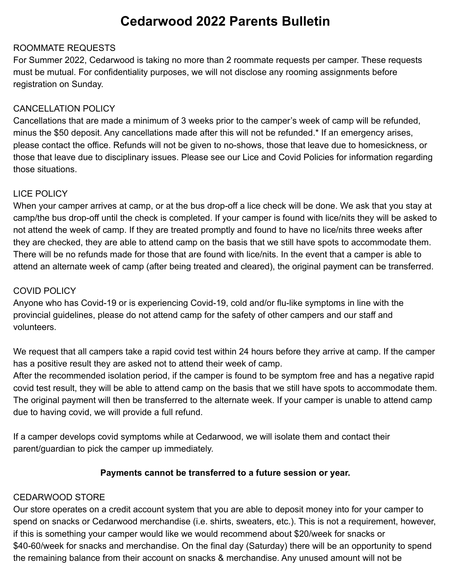# **Cedarwood 2022 Parents Bulletin**

## ROOMMATE REQUESTS

For Summer 2022, Cedarwood is taking no more than 2 roommate requests per camper. These requests must be mutual. For confidentiality purposes, we will not disclose any rooming assignments before registration on Sunday.

## CANCELLATION POLICY

Cancellations that are made a minimum of 3 weeks prior to the camper's week of camp will be refunded, minus the \$50 deposit. Any cancellations made after this will not be refunded.\* If an emergency arises, please contact the office. Refunds will not be given to no-shows, those that leave due to homesickness, or those that leave due to disciplinary issues. Please see our Lice and Covid Policies for information regarding those situations.

## LICE POLICY

When your camper arrives at camp, or at the bus drop-off a lice check will be done. We ask that you stay at camp/the bus drop-off until the check is completed. If your camper is found with lice/nits they will be asked to not attend the week of camp. If they are treated promptly and found to have no lice/nits three weeks after they are checked, they are able to attend camp on the basis that we still have spots to accommodate them. There will be no refunds made for those that are found with lice/nits. In the event that a camper is able to attend an alternate week of camp (after being treated and cleared), the original payment can be transferred.

## COVID POLICY

Anyone who has Covid-19 or is experiencing Covid-19, cold and/or flu-like symptoms in line with the provincial guidelines, please do not attend camp for the safety of other campers and our staff and volunteers.

We request that all campers take a rapid covid test within 24 hours before they arrive at camp. If the camper has a positive result they are asked not to attend their week of camp.

After the recommended isolation period, if the camper is found to be symptom free and has a negative rapid covid test result, they will be able to attend camp on the basis that we still have spots to accommodate them. The original payment will then be transferred to the alternate week. If your camper is unable to attend camp due to having covid, we will provide a full refund.

If a camper develops covid symptoms while at Cedarwood, we will isolate them and contact their parent/guardian to pick the camper up immediately.

## **Payments cannot be transferred to a future session or year.**

## CEDARWOOD STORE

Our store operates on a credit account system that you are able to deposit money into for your camper to spend on snacks or Cedarwood merchandise (i.e. shirts, sweaters, etc.). This is not a requirement, however, if this is something your camper would like we would recommend about \$20/week for snacks or \$40-60/week for snacks and merchandise. On the final day (Saturday) there will be an opportunity to spend the remaining balance from their account on snacks & merchandise. Any unused amount will not be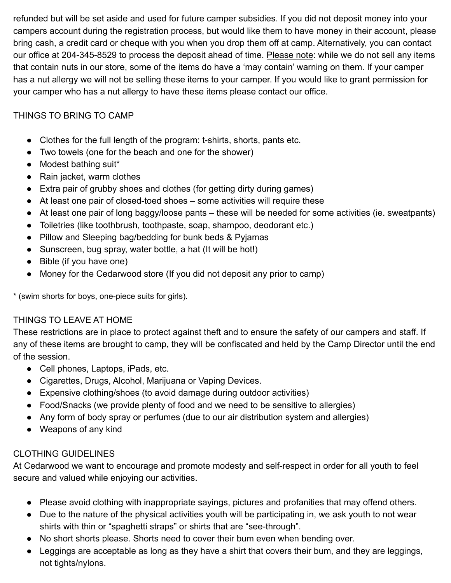refunded but will be set aside and used for future camper subsidies. If you did not deposit money into your campers account during the registration process, but would like them to have money in their account, please bring cash, a credit card or cheque with you when you drop them off at camp. Alternatively, you can contact our office at 204-345-8529 to process the deposit ahead of time. Please note: while we do not sell any items that contain nuts in our store, some of the items do have a 'may contain' warning on them. If your camper has a nut allergy we will not be selling these items to your camper. If you would like to grant permission for your camper who has a nut allergy to have these items please contact our office.

## THINGS TO BRING TO CAMP

- Clothes for the full length of the program: t-shirts, shorts, pants etc.
- Two towels (one for the beach and one for the shower)
- Modest bathing suit\*
- Rain jacket, warm clothes
- Extra pair of grubby shoes and clothes (for getting dirty during games)
- At least one pair of closed-toed shoes some activities will require these
- At least one pair of long baggy/loose pants these will be needed for some activities (ie. sweatpants)
- Toiletries (like toothbrush, toothpaste, soap, shampoo, deodorant etc.)
- Pillow and Sleeping bag/bedding for bunk beds & Pyjamas
- Sunscreen, bug spray, water bottle, a hat (It will be hot!)
- Bible (if you have one)
- Money for the Cedarwood store (If you did not deposit any prior to camp)

\* (swim shorts for boys, one-piece suits for girls).

## THINGS TO LEAVE AT HOME

These restrictions are in place to protect against theft and to ensure the safety of our campers and staff. If any of these items are brought to camp, they will be confiscated and held by the Camp Director until the end of the session.

- Cell phones, Laptops, iPads, etc.
- Cigarettes, Drugs, Alcohol, Marijuana or Vaping Devices.
- Expensive clothing/shoes (to avoid damage during outdoor activities)
- Food/Snacks (we provide plenty of food and we need to be sensitive to allergies)
- Any form of body spray or perfumes (due to our air distribution system and allergies)
- Weapons of any kind

## CLOTHING GUIDELINES

At Cedarwood we want to encourage and promote modesty and self-respect in order for all youth to feel secure and valued while enjoying our activities.

- Please avoid clothing with inappropriate sayings, pictures and profanities that may offend others.
- Due to the nature of the physical activities youth will be participating in, we ask youth to not wear shirts with thin or "spaghetti straps" or shirts that are "see-through".
- No short shorts please. Shorts need to cover their bum even when bending over.
- Leggings are acceptable as long as they have a shirt that covers their bum, and they are leggings, not tights/nylons.